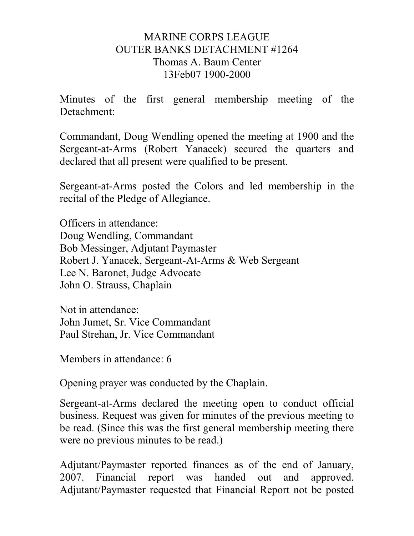# MARINE CORPS LEAGUE OUTER BANKS DETACHMENT #1264 Thomas A. Baum Center 13Feb07 1900-2000

Minutes of the first general membership meeting of the Detachment:

Commandant, Doug Wendling opened the meeting at 1900 and the Sergeant-at-Arms (Robert Yanacek) secured the quarters and declared that all present were qualified to be present.

Sergeant-at-Arms posted the Colors and led membership in the recital of the Pledge of Allegiance.

Officers in attendance: Doug Wendling, Commandant Bob Messinger, Adjutant Paymaster Robert J. Yanacek, Sergeant-At-Arms & Web Sergeant Lee N. Baronet, Judge Advocate John O. Strauss, Chaplain

Not in attendance: John Jumet, Sr. Vice Commandant Paul Strehan, Jr. Vice Commandant

Members in attendance: 6

Opening prayer was conducted by the Chaplain.

Sergeant-at-Arms declared the meeting open to conduct official business. Request was given for minutes of the previous meeting to be read. (Since this was the first general membership meeting there were no previous minutes to be read.)

Adjutant/Paymaster reported finances as of the end of January, 2007. Financial report was handed out and approved. Adjutant/Paymaster requested that Financial Report not be posted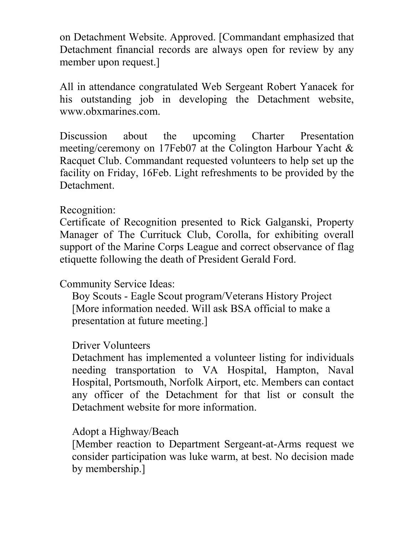on Detachment Website. Approved. [Commandant emphasized that Detachment financial records are always open for review by any member upon request.]

All in attendance congratulated Web Sergeant Robert Yanacek for his outstanding job in developing the Detachment website, www.obxmarines.com.

Discussion about the upcoming Charter Presentation meeting/ceremony on 17Feb07 at the Colington Harbour Yacht & Racquet Club. Commandant requested volunteers to help set up the facility on Friday, 16Feb. Light refreshments to be provided by the Detachment.

# Recognition:

Certificate of Recognition presented to Rick Galganski, Property Manager of The Currituck Club, Corolla, for exhibiting overall support of the Marine Corps League and correct observance of flag etiquette following the death of President Gerald Ford.

# Community Service Ideas:

Boy Scouts - Eagle Scout program/Veterans History Project [More information needed. Will ask BSA official to make a presentation at future meeting.]

# Driver Volunteers

Detachment has implemented a volunteer listing for individuals needing transportation to VA Hospital, Hampton, Naval Hospital, Portsmouth, Norfolk Airport, etc. Members can contact any officer of the Detachment for that list or consult the Detachment website for more information.

# Adopt a Highway/Beach

[Member reaction to Department Sergeant-at-Arms request we consider participation was luke warm, at best. No decision made by membership.]